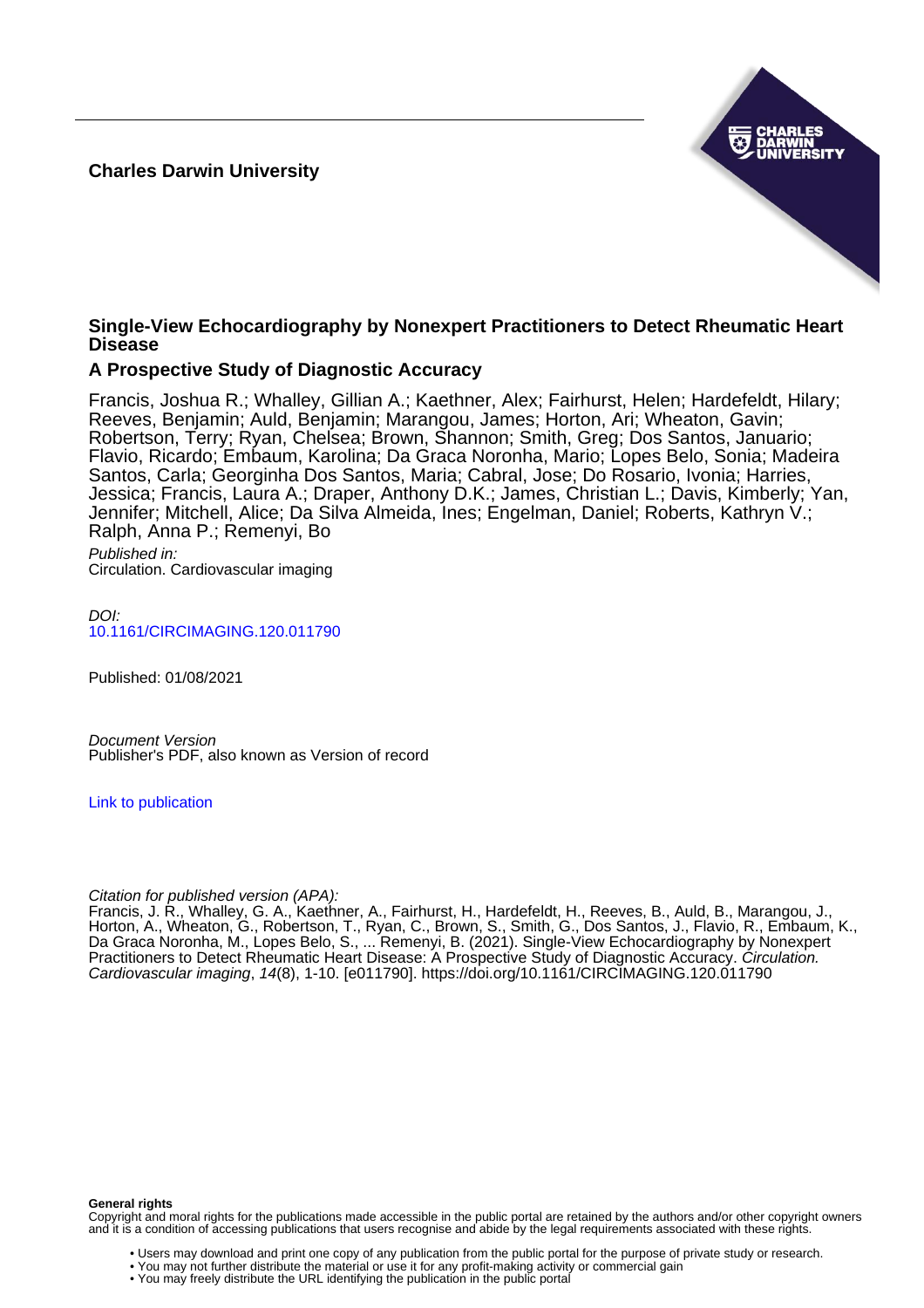#### **Charles Darwin University**



#### **Single-View Echocardiography by Nonexpert Practitioners to Detect Rheumatic Heart Disease**

#### **A Prospective Study of Diagnostic Accuracy**

Francis, Joshua R.; Whalley, Gillian A.; Kaethner, Alex; Fairhurst, Helen; Hardefeldt, Hilary; Reeves, Benjamin; Auld, Benjamin; Marangou, James; Horton, Ari; Wheaton, Gavin; Robertson, Terry; Ryan, Chelsea; Brown, Shannon; Smith, Greg; Dos Santos, Januario; Flavio, Ricardo; Embaum, Karolina; Da Graca Noronha, Mario; Lopes Belo, Sonia; Madeira Santos, Carla; Georginha Dos Santos, Maria; Cabral, Jose; Do Rosario, Ivonia; Harries, Jessica; Francis, Laura A.; Draper, Anthony D.K.; James, Christian L.; Davis, Kimberly; Yan, Jennifer: Mitchell, Alice; Da Silva Almeida, Ines; Engelman, Daniel; Roberts, Kathryn V.; Ralph, Anna P.; Remenyi, Bo

Published in: Circulation. Cardiovascular imaging

 $D$ [10.1161/CIRCIMAGING.120.011790](https://doi.org/10.1161/CIRCIMAGING.120.011790)

Published: 01/08/2021

Document Version Publisher's PDF, also known as Version of record

[Link to publication](https://researchers.cdu.edu.au/en/publications/6e93f5c9-b6e8-44c4-bf54-a1e08f359315)

Citation for published version (APA):

Francis, J. R., Whalley, G. A., Kaethner, A., Fairhurst, H., Hardefeldt, H., Reeves, B., Auld, B., Marangou, J., Horton, A., Wheaton, G., Robertson, T., Ryan, C., Brown, S., Smith, G., Dos Santos, J., Flavio, R., Embaum, K., Da Graca Noronha, M., Lopes Belo, S., ... Remenyi, B. (2021). Single-View Echocardiography by Nonexpert Practitioners to Detect Rheumatic Heart Disease: A Prospective Study of Diagnostic Accuracy. Circulation. Cardiovascular imaging, 14(8), 1-10. [e011790]. <https://doi.org/10.1161/CIRCIMAGING.120.011790>

**General rights**

Copyright and moral rights for the publications made accessible in the public portal are retained by the authors and/or other copyright owners and it is a condition of accessing publications that users recognise and abide by the legal requirements associated with these rights.

• Users may download and print one copy of any publication from the public portal for the purpose of private study or research.

• You may not further distribute the material or use it for any profit-making activity or commercial gain

• You may freely distribute the URL identifying the publication in the public portal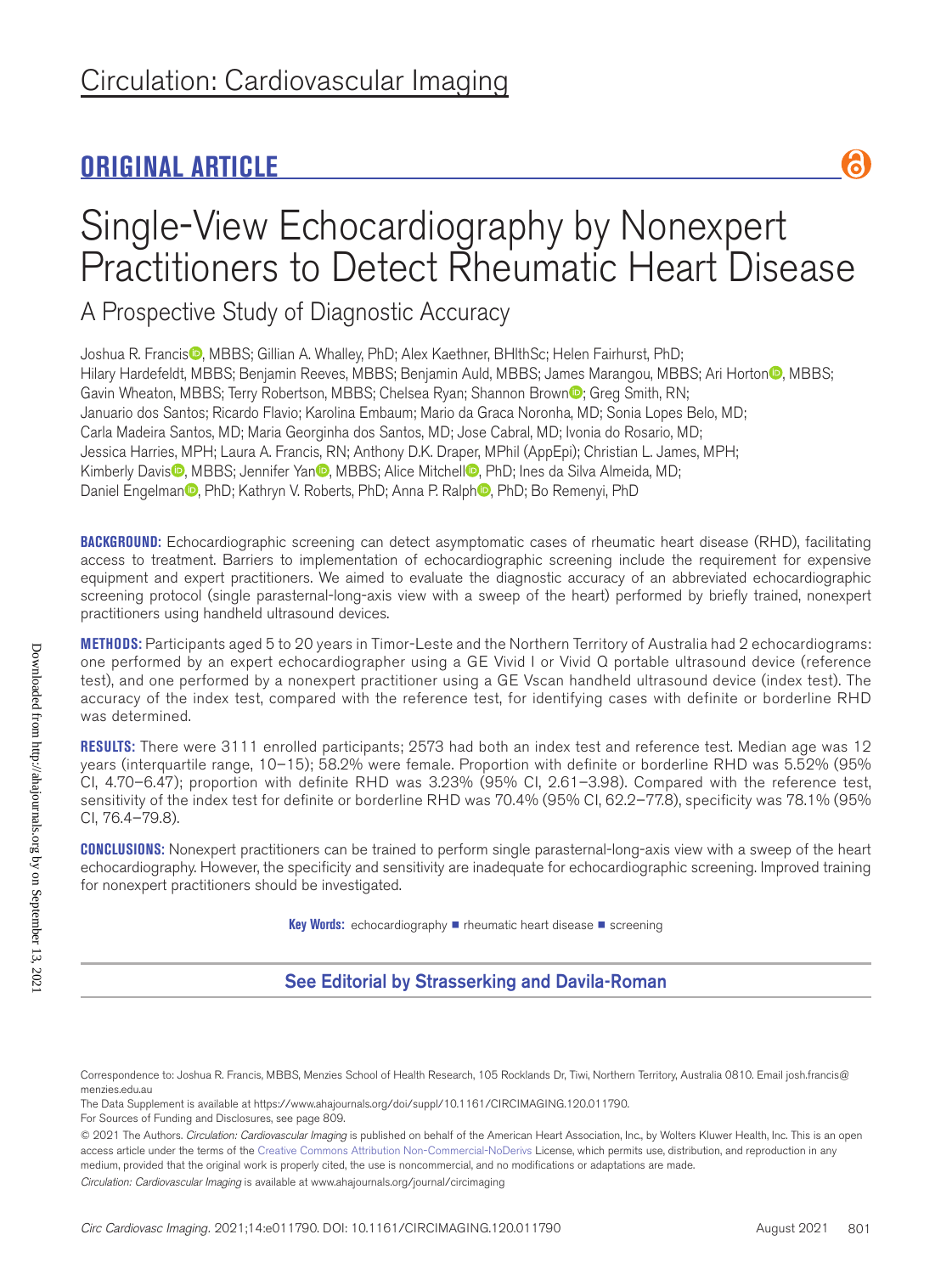## **ORIGINAL ARTICLE**

# Single-View Echocardiography by Nonexpert Practitioners to Detect Rheumatic Heart Disease

A Prospective Study of Diagnostic Accuracy

Joshua R. Francis<sup>®</sup>, MBBS; Gillian A. Whalley, PhD; Alex Kaethner, BHlthSc; Helen Fairhurst, PhD; Hilary Hardefeldt, MBBS; Benjamin Reeves, MBBS; Benjamin Auld, MBBS; James Marangou, MBBS; Ari Horton<sup>®</sup>, MBBS; Gavin Wheaton, MBBS; Terry Robertson, MBBS; Chelsea Ryan; Shannon Brown<sup>1</sup>, Greg Smith, RN; Januario dos Santos; Ricardo Flavio; Karolina Embaum; Mario da Graca Noronha, MD; Sonia Lopes Belo, MD; Carla Madeira Santos, MD; Maria Georginha dos Santos, MD; Jose Cabral, MD; Ivonia do Rosario, MD; Jessica Harries, MPH; Laura A. Francis, RN; Anthony D.K. Draper, MPhil (AppEpi); Christian L. James, MPH; Kimberly Davis<sup>O</sup>, MBBS; Jennifer Yan<sup>O</sup>, MBBS; Alice Mitchell<sup>O</sup>, PhD; Ines da Silva Almeida, MD; Daniel Engelman<sup>n</sup>, PhD; Kathryn V. Roberts, PhD; Anna P. Ralph<sup>n</sup>, PhD; Bo Remenyi, PhD

**BACKGROUND:** Echocardiographic screening can detect asymptomatic cases of rheumatic heart disease (RHD), facilitating access to treatment. Barriers to implementation of echocardiographic screening include the requirement for expensive equipment and expert practitioners. We aimed to evaluate the diagnostic accuracy of an abbreviated echocardiographic screening protocol (single parasternal-long-axis view with a sweep of the heart) performed by briefly trained, nonexpert practitioners using handheld ultrasound devices.

**METHODS:** Participants aged 5 to 20 years in Timor-Leste and the Northern Territory of Australia had 2 echocardiograms: one performed by an expert echocardiographer using a GE Vivid I or Vivid Q portable ultrasound device (reference test), and one performed by a nonexpert practitioner using a GE Vscan handheld ultrasound device (index test). The accuracy of the index test, compared with the reference test, for identifying cases with definite or borderline RHD was determined.

**RESULTS:** There were 3111 enrolled participants; 2573 had both an index test and reference test. Median age was 12 years (interquartile range, 10–15); 58.2% were female. Proportion with definite or borderline RHD was 5.52% (95% CI, 4.70–6.47); proportion with definite RHD was 3.23% (95% CI, 2.61–3.98). Compared with the reference test, sensitivity of the index test for definite or borderline RHD was 70.4% (95% CI, 62.2–77.8), specificity was 78.1% (95% CI, 76.4–79.8).

**CONCLUSIONS:** Nonexpert practitioners can be trained to perform single parasternal-long-axis view with a sweep of the heart echocardiography. However, the specificity and sensitivity are inadequate for echocardiographic screening. Improved training for nonexpert practitioners should be investigated.

**Key Words:** echocardiography ■ rheumatic heart disease ■ screening

## See Editorial by Strasserking and Davila-Roman

a

Correspondence to: Joshua R. Francis, MBBS, Menzies School of Health Research, 105 Rocklands Dr, Tiwi, Northern Territory, Australia 0810. Email [josh.francis@](mailto:josh.francis@menzies.edu.au) [menzies.edu.au](mailto:josh.francis@menzies.edu.au)

The Data Supplement is available at https://www.ahajournals.org/doi/suppl/10.1161/CIRCIMAGING.120.011790.

For Sources of Funding and Disclosures, see page 809.

<sup>© 2021</sup> The Authors. *Circulation: Cardiovascular Imaging* is published on behalf of the American Heart Association, Inc., by Wolters Kluwer Health, Inc. This is an open access article under the terms of the Creative Commons Attribution Non-Commercial-NoDerivs License, which permits use, distribution, and reproduction in any medium, provided that the original work is properly cited, the use is noncommercial, and no modifications or adaptations are made.

*Circulation: Cardiovascular Imaging* is available at www.ahajournals.org/journal/circimaging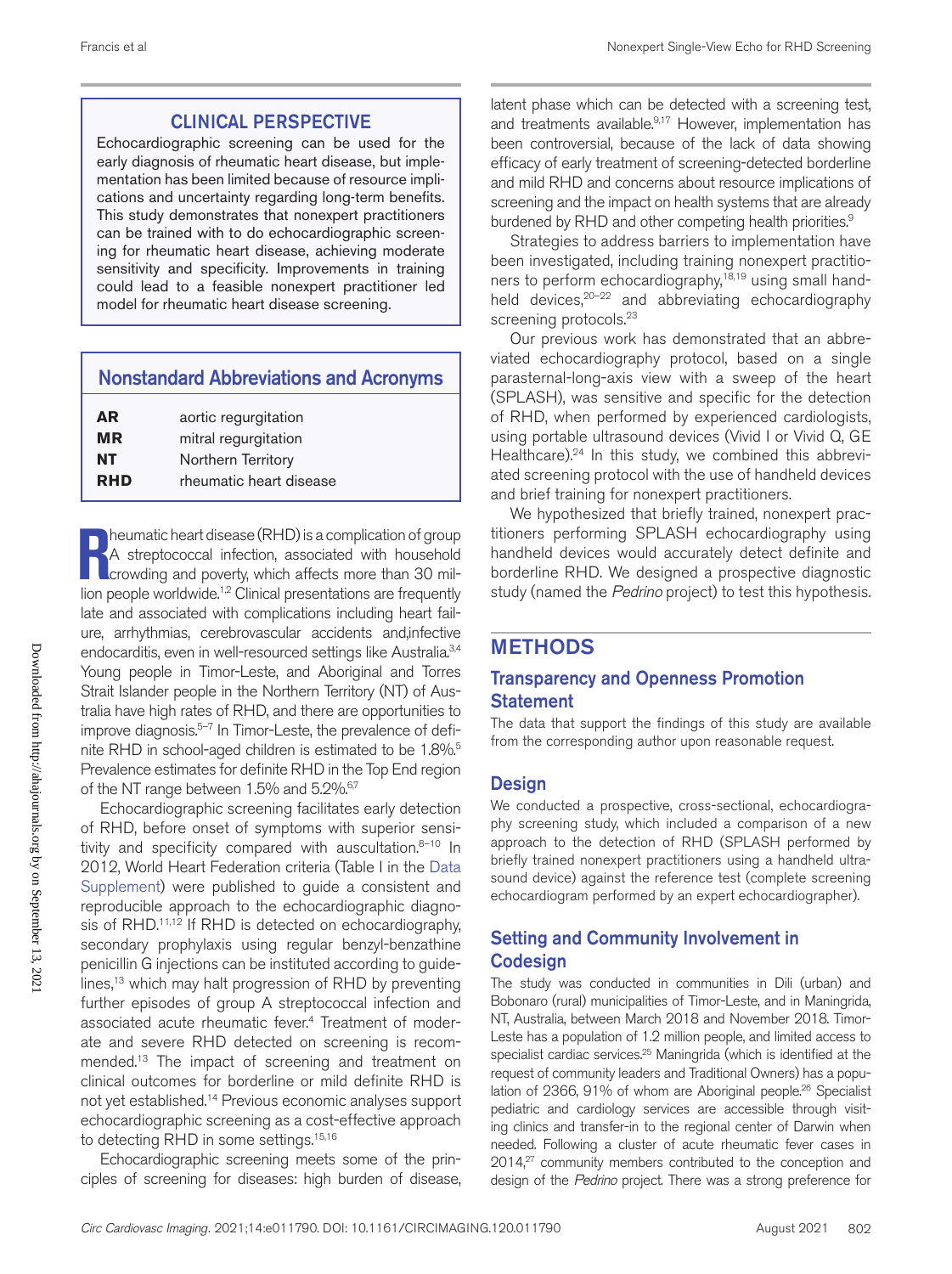## CLINICAL PERSPECTIVE

Echocardiographic screening can be used for the early diagnosis of rheumatic heart disease, but implementation has been limited because of resource implications and uncertainty regarding long-term benefits. This study demonstrates that nonexpert practitioners can be trained with to do echocardiographic screening for rheumatic heart disease, achieving moderate sensitivity and specificity. Improvements in training could lead to a feasible nonexpert practitioner led model for rheumatic heart disease screening.

| <b>Nonstandard Abbreviations and Acronyms</b> |                      |  |  |
|-----------------------------------------------|----------------------|--|--|
| AR                                            | aortic regurgitation |  |  |
| <b>MR</b>                                     | mitral regurgitation |  |  |
| <b>NT</b>                                     | Northern Territory   |  |  |

**RHD** rheumatic heart disease

**Reumatic heart disease (RHD) is a complication of group<br>A streptococcal infection, associated with household<br>crowding and poverty, which affects more than 30 mil-<br>lion poople worldwide <sup>12</sup> Clinical preceptations are freq** heumatic heart disease (RHD) is a complication of group A streptococcal infection, associated with household lion people worldwide.1,2 Clinical presentations are frequently late and associated with complications including heart failure, arrhythmias, cerebrovascular accidents and,infective endocarditis, even in well-resourced settings like Australia.<sup>3,4</sup> Young people in Timor-Leste, and Aboriginal and Torres Strait Islander people in the Northern Territory (NT) of Australia have high rates of RHD, and there are opportunities to improve diagnosis.<sup>5-7</sup> In Timor-Leste, the prevalence of definite RHD in school-aged children is estimated to be 1.8%.<sup>5</sup> Prevalence estimates for definite RHD in the Top End region of the NT range between 1.5% and 5.2%.<sup>6,7</sup>

Echocardiographic screening facilitates early detection of RHD, before onset of symptoms with superior sensitivity and specificity compared with auscultation.8-10 In 2012, World Heart Federation criteria (Table I in the Data Supplement) were published to guide a consistent and reproducible approach to the echocardiographic diagnosis of RHD.<sup>11,12</sup> If RHD is detected on echocardiography, secondary prophylaxis using regular benzyl-benzathine penicillin G injections can be instituted according to guidelines,<sup>13</sup> which may halt progression of RHD by preventing further episodes of group A streptococcal infection and associated acute rheumatic fever.4 Treatment of moderate and severe RHD detected on screening is recommended.13 The impact of screening and treatment on clinical outcomes for borderline or mild definite RHD is not yet established.14 Previous economic analyses support echocardiographic screening as a cost-effective approach to detecting RHD in some settings.<sup>15,16</sup>

Echocardiographic screening meets some of the principles of screening for diseases: high burden of disease,

latent phase which can be detected with a screening test, and treatments available.<sup>9,17</sup> However, implementation has been controversial, because of the lack of data showing efficacy of early treatment of screening-detected borderline and mild RHD and concerns about resource implications of screening and the impact on health systems that are already burdened by RHD and other competing health priorities.<sup>9</sup>

Strategies to address barriers to implementation have been investigated, including training nonexpert practitioners to perform echocardiography,<sup>18,19</sup> using small handheld devices,<sup>20-22</sup> and abbreviating echocardiography screening protocols.<sup>23</sup>

Our previous work has demonstrated that an abbreviated echocardiography protocol, based on a single parasternal-long-axis view with a sweep of the heart (SPLASH), was sensitive and specific for the detection of RHD, when performed by experienced cardiologists, using portable ultrasound devices (Vivid I or Vivid Q, GE Healthcare).<sup>24</sup> In this study, we combined this abbreviated screening protocol with the use of handheld devices and brief training for nonexpert practitioners.

We hypothesized that briefly trained, nonexpert practitioners performing SPLASH echocardiography using handheld devices would accurately detect definite and borderline RHD. We designed a prospective diagnostic study (named the *Pedrino* project) to test this hypothesis.

## METHODS

#### Transparency and Openness Promotion **Statement**

The data that support the findings of this study are available from the corresponding author upon reasonable request.

#### **Design**

We conducted a prospective, cross-sectional, echocardiography screening study, which included a comparison of a new approach to the detection of RHD (SPLASH performed by briefly trained nonexpert practitioners using a handheld ultrasound device) against the reference test (complete screening echocardiogram performed by an expert echocardiographer).

## Setting and Community Involvement in Codesign

The study was conducted in communities in Dili (urban) and Bobonaro (rural) municipalities of Timor-Leste, and in Maningrida, NT, Australia, between March 2018 and November 2018. Timor-Leste has a population of 1.2 million people, and limited access to specialist cardiac services.<sup>25</sup> Maningrida (which is identified at the request of community leaders and Traditional Owners) has a population of 2366, 91% of whom are Aboriginal people.<sup>26</sup> Specialist pediatric and cardiology services are accessible through visiting clinics and transfer-in to the regional center of Darwin when needed. Following a cluster of acute rheumatic fever cases in 2014,<sup>27</sup> community members contributed to the conception and design of the *Pedrino* project. There was a strong preference for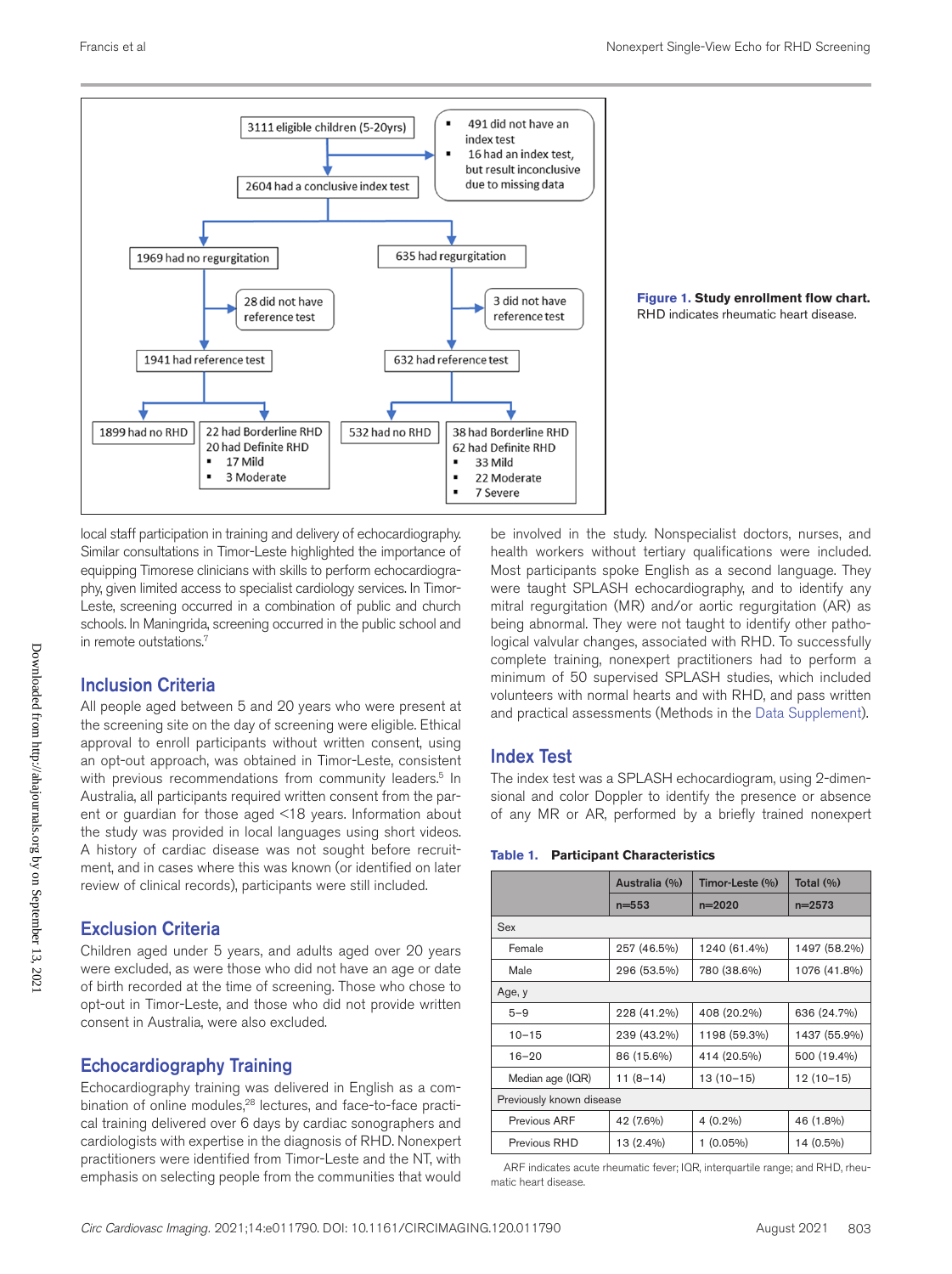



local staff participation in training and delivery of echocardiography. Similar consultations in Timor-Leste highlighted the importance of equipping Timorese clinicians with skills to perform echocardiography, given limited access to specialist cardiology services. In Timor-Leste, screening occurred in a combination of public and church schools. In Maningrida, screening occurred in the public school and in remote outstations.7

## Inclusion Criteria

All people aged between 5 and 20 years who were present at the screening site on the day of screening were eligible. Ethical approval to enroll participants without written consent, using an opt-out approach, was obtained in Timor-Leste, consistent with previous recommendations from community leaders.<sup>5</sup> In Australia, all participants required written consent from the parent or guardian for those aged <18 years. Information about the study was provided in local languages using short videos. A history of cardiac disease was not sought before recruitment, and in cases where this was known (or identified on later review of clinical records), participants were still included.

## Exclusion Criteria

Children aged under 5 years, and adults aged over 20 years were excluded, as were those who did not have an age or date of birth recorded at the time of screening. Those who chose to opt-out in Timor-Leste, and those who did not provide written consent in Australia, were also excluded.

## Echocardiography Training

Echocardiography training was delivered in English as a combination of online modules,<sup>28</sup> lectures, and face-to-face practical training delivered over 6 days by cardiac sonographers and cardiologists with expertise in the diagnosis of RHD. Nonexpert practitioners were identified from Timor-Leste and the NT, with emphasis on selecting people from the communities that would

be involved in the study. Nonspecialist doctors, nurses, and health workers without tertiary qualifications were included. Most participants spoke English as a second language. They were taught SPLASH echocardiography, and to identify any mitral regurgitation (MR) and/or aortic regurgitation (AR) as being abnormal. They were not taught to identify other pathological valvular changes, associated with RHD. To successfully complete training, nonexpert practitioners had to perform a minimum of 50 supervised SPLASH studies, which included volunteers with normal hearts and with RHD, and pass written and practical assessments (Methods in the Data Supplement).

## Index Test

The index test was a SPLASH echocardiogram, using 2-dimensional and color Doppler to identify the presence or absence of any MR or AR, performed by a briefly trained nonexpert

#### **Table 1. Participant Characteristics**

|                          | Australia (%) | Timor-Leste (%) | Total $(\%)$ |  |
|--------------------------|---------------|-----------------|--------------|--|
|                          | $n = 553$     | $n=2020$        | $n = 2573$   |  |
| Sex                      |               |                 |              |  |
| Female                   | 257 (46.5%)   | 1240 (61.4%)    | 1497 (58.2%) |  |
| Male                     | 296 (53.5%)   | 780 (38.6%)     | 1076 (41.8%) |  |
| Age, y                   |               |                 |              |  |
| $5 - 9$                  | 228 (41.2%)   | 408 (20.2%)     | 636 (24.7%)  |  |
| $10 - 15$                | 239 (43.2%)   | 1198 (59.3%)    | 1437 (55.9%) |  |
| $16 - 20$                | 86 (15.6%)    | 414 (20.5%)     | 500 (19.4%)  |  |
| Median age (IQR)         | $11(8-14)$    | $13(10-15)$     | $12(10-15)$  |  |
| Previously known disease |               |                 |              |  |
| Previous ARF             | 42 (7.6%)     | $4(0.2\%)$      | 46 (1.8%)    |  |
| Previous RHD             | 13 (2.4%)     | $1(0.05\%)$     | 14 (0.5%)    |  |

ARF indicates acute rheumatic fever; IQR, interquartile range; and RHD, rheumatic heart disease.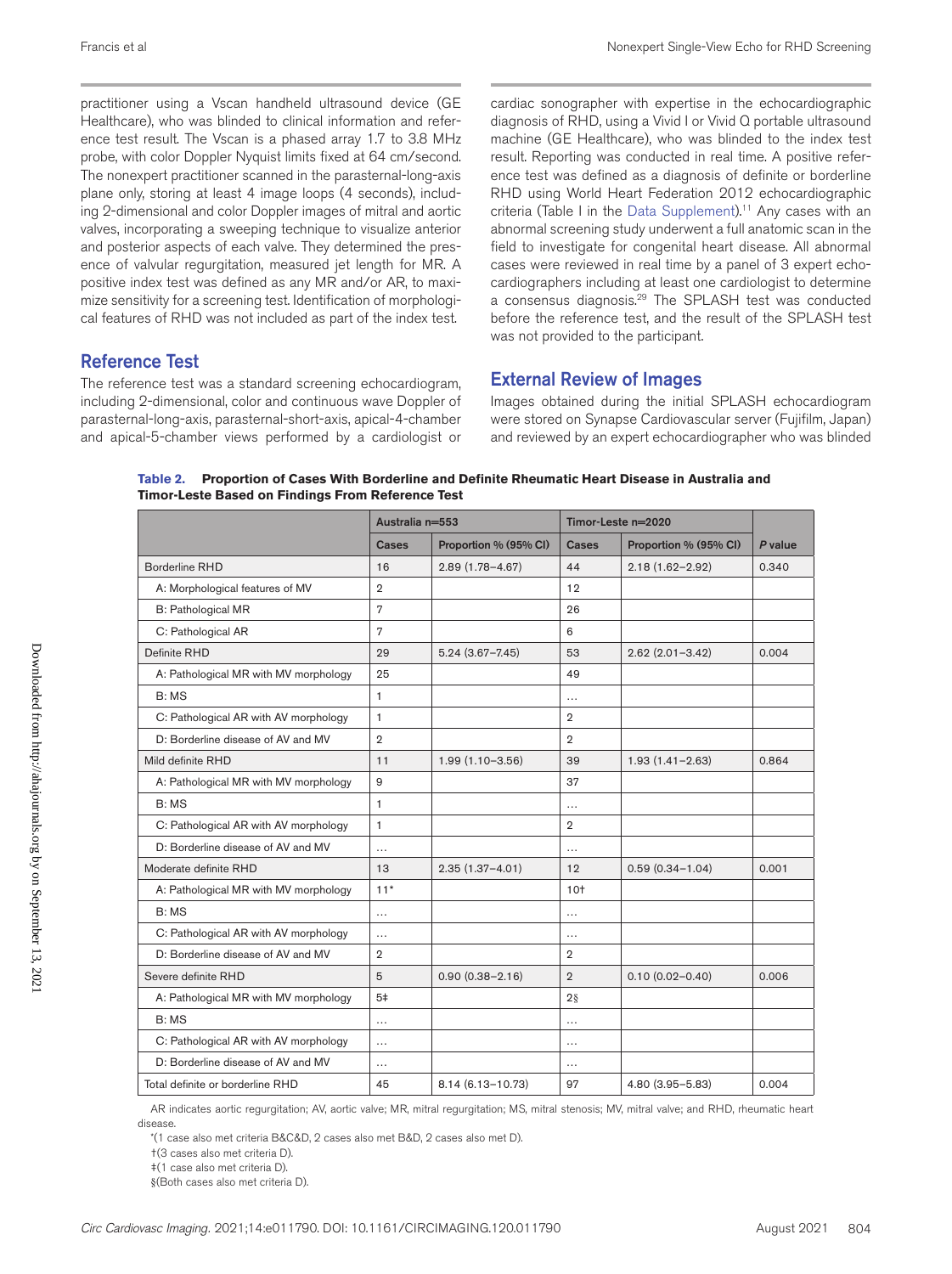practitioner using a Vscan handheld ultrasound device (GE Healthcare), who was blinded to clinical information and reference test result. The Vscan is a phased array 1.7 to 3.8 MHz probe, with color Doppler Nyquist limits fixed at 64 cm/second. The nonexpert practitioner scanned in the parasternal-long-axis plane only, storing at least 4 image loops (4 seconds), including 2-dimensional and color Doppler images of mitral and aortic valves, incorporating a sweeping technique to visualize anterior and posterior aspects of each valve. They determined the presence of valvular regurgitation, measured jet length for MR. A positive index test was defined as any MR and/or AR, to maximize sensitivity for a screening test. Identification of morphological features of RHD was not included as part of the index test.

#### Reference Test

The reference test was a standard screening echocardiogram, including 2-dimensional, color and continuous wave Doppler of parasternal-long-axis, parasternal-short-axis, apical-4-chamber and apical-5-chamber views performed by a cardiologist or

cardiac sonographer with expertise in the echocardiographic diagnosis of RHD, using a Vivid I or Vivid Q portable ultrasound machine (GE Healthcare), who was blinded to the index test result. Reporting was conducted in real time. A positive reference test was defined as a diagnosis of definite or borderline RHD using World Heart Federation 2012 echocardiographic criteria (Table I in the Data Supplement).<sup>11</sup> Any cases with an abnormal screening study underwent a full anatomic scan in the field to investigate for congenital heart disease. All abnormal cases were reviewed in real time by a panel of 3 expert echocardiographers including at least one cardiologist to determine a consensus diagnosis.<sup>29</sup> The SPLASH test was conducted before the reference test, and the result of the SPLASH test was not provided to the participant.

#### External Review of Images

Images obtained during the initial SPLASH echocardiogram were stored on Synapse Cardiovascular server (Fujifilm, Japan) and reviewed by an expert echocardiographer who was blinded

**Table 2. Proportion of Cases With Borderline and Definite Rheumatic Heart Disease in Australia and Timor-Leste Based on Findings From Reference Test**

|                                       | Australia n=553 |                       | Timor-Leste n=2020 |                       |         |
|---------------------------------------|-----------------|-----------------------|--------------------|-----------------------|---------|
|                                       | Cases           | Proportion % (95% CI) | Cases              | Proportion % (95% CI) | P value |
| Borderline RHD                        | 16              | $2.89(1.78 - 4.67)$   | 44                 | $2.18(1.62 - 2.92)$   | 0.340   |
| A: Morphological features of MV       | $\overline{2}$  |                       | 12                 |                       |         |
| B: Pathological MR                    | $\overline{7}$  |                       | 26                 |                       |         |
| C: Pathological AR                    | 7               |                       | 6                  |                       |         |
| Definite RHD                          | 29              | $5.24(3.67 - 7.45)$   | 53                 | $2.62(2.01 - 3.42)$   | 0.004   |
| A: Pathological MR with MV morphology | 25              |                       | 49                 |                       |         |
| B: MS                                 | 1               |                       | .                  |                       |         |
| C: Pathological AR with AV morphology | $\mathbf{1}$    |                       | $\mathbf{2}$       |                       |         |
| D: Borderline disease of AV and MV    | $\overline{2}$  |                       | $\overline{2}$     |                       |         |
| Mild definite RHD                     | 11              | $1.99(1.10 - 3.56)$   | 39                 | $1.93(1.41 - 2.63)$   | 0.864   |
| A: Pathological MR with MV morphology | 9               |                       | 37                 |                       |         |
| B: MS                                 | 1               |                       | .                  |                       |         |
| C: Pathological AR with AV morphology | $\mathbf{1}$    |                       | $\overline{2}$     |                       |         |
| D: Borderline disease of AV and MV    | $\cdots$        |                       | $\cdots$           |                       |         |
| Moderate definite RHD                 | 13              | $2.35(1.37 - 4.01)$   | 12                 | $0.59(0.34 - 1.04)$   | 0.001   |
| A: Pathological MR with MV morphology | $11*$           |                       | $10+$              |                       |         |
| B: MS                                 | .               |                       | .                  |                       |         |
| C: Pathological AR with AV morphology | $\cdots$        |                       | $\cdots$           |                       |         |
| D: Borderline disease of AV and MV    | $\overline{2}$  |                       | $\overline{2}$     |                       |         |
| Severe definite RHD                   | 5               | $0.90(0.38 - 2.16)$   | $\overline{2}$     | $0.10(0.02 - 0.40)$   | 0.006   |
| A: Pathological MR with MV morphology | 5 <sup>‡</sup>  |                       | $2\S$              |                       |         |
| B: MS                                 | $\cdots$        |                       | .                  |                       |         |
| C: Pathological AR with AV morphology | $\cdots$        |                       | .                  |                       |         |
| D: Borderline disease of AV and MV    | .               |                       | .                  |                       |         |
| Total definite or borderline RHD      | 45              | 8.14 (6.13-10.73)     | 97                 | $4.80(3.95 - 5.83)$   | 0.004   |

AR indicates aortic regurgitation; AV, aortic valve; MR, mitral regurgitation; MS, mitral stenosis; MV, mitral valve; and RHD, rheumatic heart disease.

\*(1 case also met criteria B&C&D, 2 cases also met B&D, 2 cases also met D).

†(3 cases also met criteria D).

‡(1 case also met criteria D).

§(Both cases also met criteria D).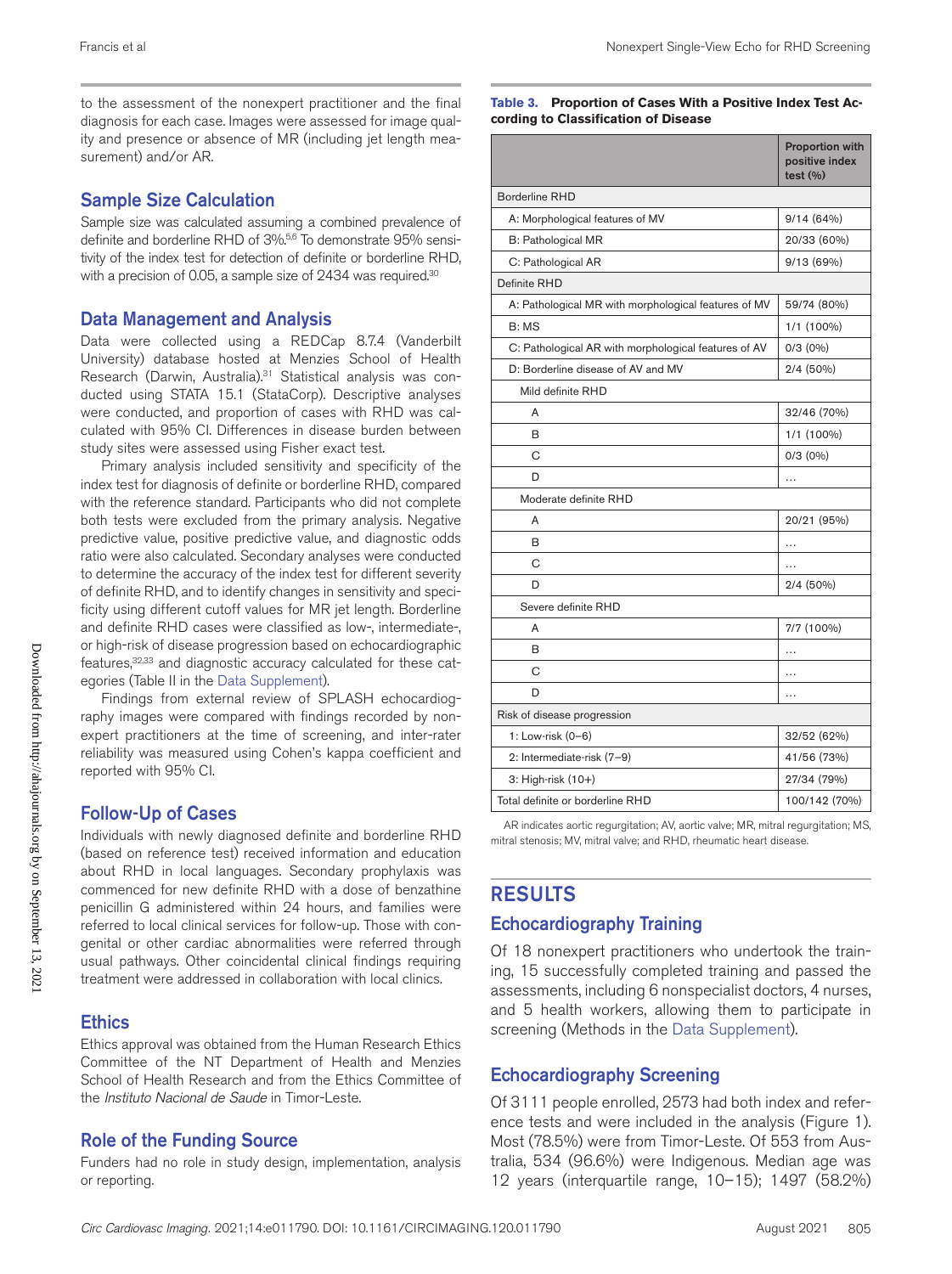to the assessment of the nonexpert practitioner and the final diagnosis for each case. Images were assessed for image quality and presence or absence of MR (including jet length measurement) and/or AR.

#### Sample Size Calculation

Sample size was calculated assuming a combined prevalence of definite and borderline RHD of 3%.<sup>5,6</sup> To demonstrate 95% sensitivity of the index test for detection of definite or borderline RHD, with a precision of 0.05, a sample size of 2434 was required.<sup>30</sup>

#### Data Management and Analysis

Data were collected using a REDCap 8.7.4 (Vanderbilt University) database hosted at Menzies School of Health Research (Darwin, Australia).<sup>31</sup> Statistical analysis was conducted using STATA 15.1 (StataCorp). Descriptive analyses were conducted, and proportion of cases with RHD was calculated with 95% CI. Differences in disease burden between study sites were assessed using Fisher exact test.

Primary analysis included sensitivity and specificity of the index test for diagnosis of definite or borderline RHD, compared with the reference standard. Participants who did not complete both tests were excluded from the primary analysis. Negative predictive value, positive predictive value, and diagnostic odds ratio were also calculated. Secondary analyses were conducted to determine the accuracy of the index test for different severity of definite RHD, and to identify changes in sensitivity and specificity using different cutoff values for MR jet length. Borderline and definite RHD cases were classified as low-, intermediate-, or high-risk of disease progression based on echocardiographic features, 32,33 and diagnostic accuracy calculated for these categories (Table II in the Data Supplement).

Findings from external review of SPLASH echocardiography images were compared with findings recorded by nonexpert practitioners at the time of screening, and inter-rater reliability was measured using Cohen's kappa coefficient and reported with 95% CI.

#### Follow-Up of Cases

Individuals with newly diagnosed definite and borderline RHD (based on reference test) received information and education about RHD in local languages. Secondary prophylaxis was commenced for new definite RHD with a dose of benzathine penicillin G administered within 24 hours, and families were referred to local clinical services for follow-up. Those with congenital or other cardiac abnormalities were referred through usual pathways. Other coincidental clinical findings requiring treatment were addressed in collaboration with local clinics.

#### **Ethics**

Ethics approval was obtained from the Human Research Ethics Committee of the NT Department of Health and Menzies School of Health Research and from the Ethics Committee of the *Instituto Nacional de Saude* in Timor-Leste.

#### Role of the Funding Source

Funders had no role in study design, implementation, analysis or reporting.

**Table 3. Proportion of Cases With a Positive Index Test According to Classification of Disease**

|                                                      | <b>Proportion with</b><br>positive index<br>test (%) |  |  |  |
|------------------------------------------------------|------------------------------------------------------|--|--|--|
| <b>Borderline RHD</b>                                |                                                      |  |  |  |
| A: Morphological features of MV                      | 9/14(64%)                                            |  |  |  |
| <b>B: Pathological MR</b>                            | 20/33 (60%)                                          |  |  |  |
| C: Pathological AR                                   | 9/13 (69%)                                           |  |  |  |
| Definite RHD                                         |                                                      |  |  |  |
| A: Pathological MR with morphological features of MV | 59/74 (80%)                                          |  |  |  |
| B: MS                                                | 1/1 (100%)                                           |  |  |  |
| C: Pathological AR with morphological features of AV | $0/3$ $(0\%)$                                        |  |  |  |
| D: Borderline disease of AV and MV                   | $2/4(50\%)$                                          |  |  |  |
| Mild definite RHD                                    |                                                      |  |  |  |
| A                                                    | 32/46 (70%)                                          |  |  |  |
| B                                                    | 1/1 (100%)                                           |  |  |  |
| C                                                    | $0/3$ $(0\%)$                                        |  |  |  |
| D                                                    | .                                                    |  |  |  |
| Moderate definite RHD                                |                                                      |  |  |  |
| A                                                    | 20/21 (95%)                                          |  |  |  |
| B                                                    | $\cdots$                                             |  |  |  |
| С                                                    |                                                      |  |  |  |
| D                                                    | 2/4 (50%)                                            |  |  |  |
| Severe definite RHD                                  |                                                      |  |  |  |
| A                                                    | 7/7 (100%)                                           |  |  |  |
| в                                                    | .                                                    |  |  |  |
| С                                                    | .                                                    |  |  |  |
| D                                                    | .                                                    |  |  |  |
| Risk of disease progression                          |                                                      |  |  |  |
| 1: Low-risk (0-6)                                    | 32/52 (62%)                                          |  |  |  |
| 2: Intermediate-risk (7-9)                           | 41/56 (73%)                                          |  |  |  |
| 3: High-risk (10+)                                   | 27/34 (79%)                                          |  |  |  |
| Total definite or borderline RHD                     | 100/142 (70%)                                        |  |  |  |

AR indicates aortic regurgitation; AV, aortic valve; MR, mitral regurgitation; MS, mitral stenosis; MV, mitral valve; and RHD, rheumatic heart disease.

## RESULTS

#### Echocardiography Training

Of 18 nonexpert practitioners who undertook the training, 15 successfully completed training and passed the assessments, including 6 nonspecialist doctors, 4 nurses, and 5 health workers, allowing them to participate in screening (Methods in the Data Supplement).

## Echocardiography Screening

Of 3111 people enrolled, 2573 had both index and reference tests and were included in the analysis (Figure 1). Most (78.5%) were from Timor-Leste. Of 553 from Australia, 534 (96.6%) were Indigenous. Median age was 12 years (interquartile range, 10–15); 1497 (58.2%)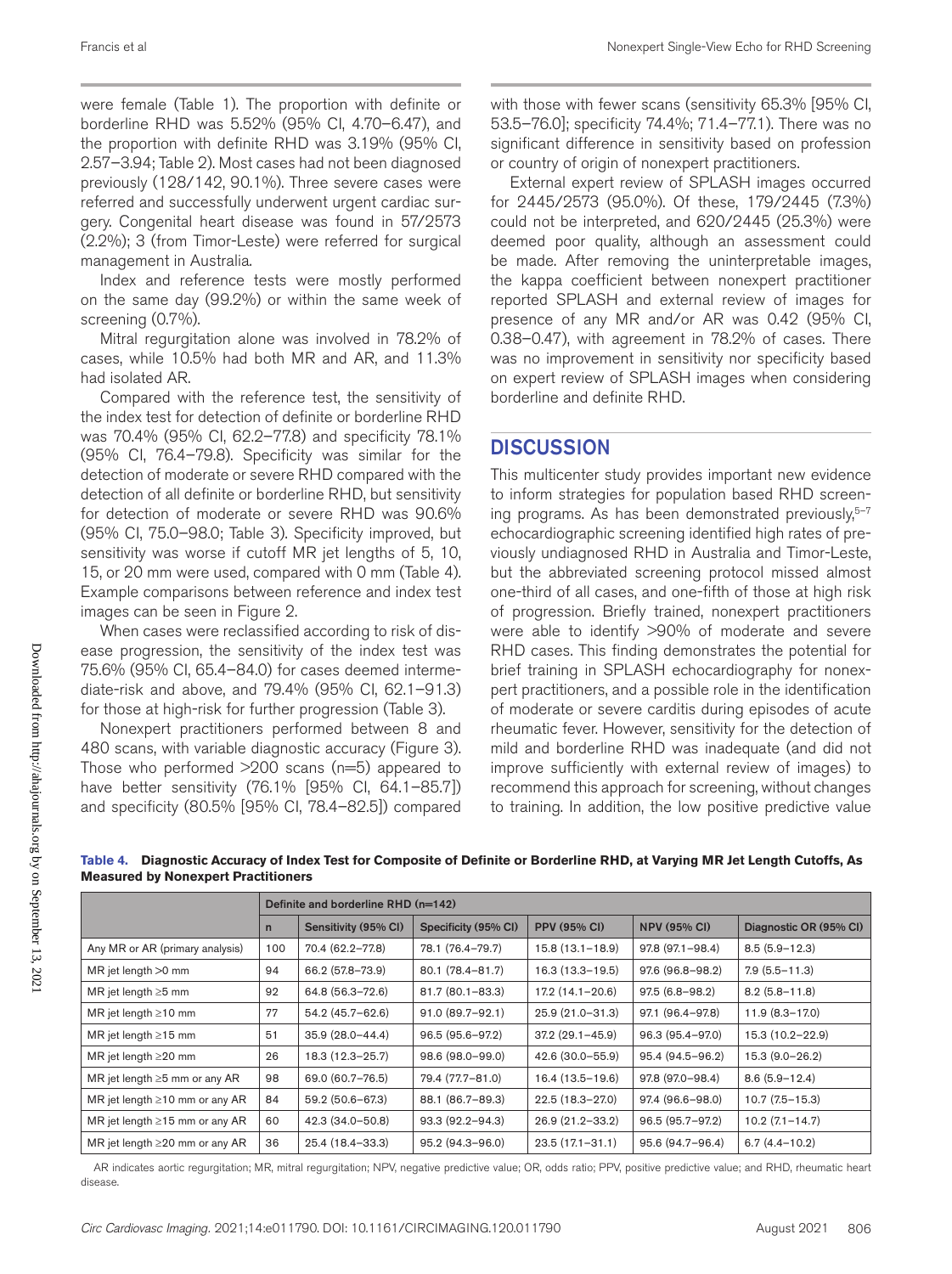were female (Table 1). The proportion with definite or borderline RHD was 5.52% (95% CI, 4.70–6.47), and the proportion with definite RHD was 3.19% (95% CI, 2.57–3.94; Table 2). Most cases had not been diagnosed previously (128/142, 90.1%). Three severe cases were referred and successfully underwent urgent cardiac surgery. Congenital heart disease was found in 57/2573 (2.2%); 3 (from Timor-Leste) were referred for surgical management in Australia.

Index and reference tests were mostly performed on the same day (99.2%) or within the same week of screening (0.7%).

Mitral regurgitation alone was involved in 78.2% of cases, while 10.5% had both MR and AR, and 11.3% had isolated AR.

Compared with the reference test, the sensitivity of the index test for detection of definite or borderline RHD was 70.4% (95% CI, 62.2–77.8) and specificity 78.1% (95% CI, 76.4–79.8). Specificity was similar for the detection of moderate or severe RHD compared with the detection of all definite or borderline RHD, but sensitivity for detection of moderate or severe RHD was 90.6% (95% CI, 75.0–98.0; Table 3). Specificity improved, but sensitivity was worse if cutoff MR jet lengths of 5, 10, 15, or 20 mm were used, compared with 0 mm (Table 4). Example comparisons between reference and index test images can be seen in Figure 2.

When cases were reclassified according to risk of disease progression, the sensitivity of the index test was 75.6% (95% CI, 65.4–84.0) for cases deemed intermediate-risk and above, and 79.4% (95% CI, 62.1–91.3) for those at high-risk for further progression (Table 3).

Nonexpert practitioners performed between 8 and 480 scans, with variable diagnostic accuracy (Figure 3). Those who performed  $>200$  scans ( $n=5$ ) appeared to have better sensitivity (76.1% [95% CI, 64.1–85.7]) and specificity (80.5% [95% CI, 78.4–82.5]) compared

with those with fewer scans (sensitivity 65.3% [95% CI, 53.5–76.0]; specificity 74.4%; 71.4–77.1). There was no significant difference in sensitivity based on profession or country of origin of nonexpert practitioners.

External expert review of SPLASH images occurred for 2445/2573 (95.0%). Of these, 179/2445 (7.3%) could not be interpreted, and 620/2445 (25.3%) were deemed poor quality, although an assessment could be made. After removing the uninterpretable images, the kappa coefficient between nonexpert practitioner reported SPLASH and external review of images for presence of any MR and/or AR was 0.42 (95% CI, 0.38–0.47), with agreement in 78.2% of cases. There was no improvement in sensitivity nor specificity based on expert review of SPLASH images when considering borderline and definite RHD.

## **DISCUSSION**

This multicenter study provides important new evidence to inform strategies for population based RHD screening programs. As has been demonstrated previously, $5-7$ echocardiographic screening identified high rates of previously undiagnosed RHD in Australia and Timor-Leste, but the abbreviated screening protocol missed almost one-third of all cases, and one-fifth of those at high risk of progression. Briefly trained, nonexpert practitioners were able to identify >90% of moderate and severe RHD cases. This finding demonstrates the potential for brief training in SPLASH echocardiography for nonexpert practitioners, and a possible role in the identification of moderate or severe carditis during episodes of acute rheumatic fever. However, sensitivity for the detection of mild and borderline RHD was inadequate (and did not improve sufficiently with external review of images) to recommend this approach for screening, without changes to training. In addition, the low positive predictive value

|                                      | Definite and borderline RHD (n=142) |                      |                      |                     |                     |                        |
|--------------------------------------|-------------------------------------|----------------------|----------------------|---------------------|---------------------|------------------------|
|                                      | $\mathsf{n}$                        | Sensitivity (95% CI) | Specificity (95% CI) | <b>PPV (95% CI)</b> | <b>NPV (95% CI)</b> | Diagnostic OR (95% CI) |
| Any MR or AR (primary analysis)      | 100                                 | 70.4 (62.2-77.8)     | 78.1 (76.4-79.7)     | $15.8(13.1 - 18.9)$ | $97.8(97.1 - 98.4)$ | $8.5(5.9 - 12.3)$      |
| MR jet length >0 mm                  | 94                                  | 66.2 (57.8-73.9)     | 80.1 (78.4-81.7)     | $16.3(13.3 - 19.5)$ | 97.6 (96.8-98.2)    | $7.9(5.5 - 11.3)$      |
| MR jet length $\geq 5$ mm            | 92                                  | 64.8 (56.3-72.6)     | $81.7(80.1 - 83.3)$  | $17.2(14.1 - 20.6)$ | $97.5(6.8 - 98.2)$  | $8.2(5.8 - 11.8)$      |
| MR jet length $\geq$ 10 mm           | 77                                  | 54.2 (45.7-62.6)     | $91.0 (89.7 - 92.1)$ | $25.9(21.0-31.3)$   | 97.1 (96.4-97.8)    | $11.9(8.3 - 17.0)$     |
| MR jet length $\geq$ 15 mm           | 51                                  | $35.9(28.0 - 44.4)$  | $96.5(95.6 - 97.2)$  | $37.2(29.1 - 45.9)$ | 96.3 (95.4-97.0)    | 15.3 (10.2-22.9)       |
| MR jet length $\geq$ 20 mm           | 26                                  | 18.3 (12.3-25.7)     | 98.6 (98.0-99.0)     | 42.6 (30.0-55.9)    | 95.4 (94.5-96.2)    | 15.3 (9.0-26.2)        |
| MR jet length $\geq$ 5 mm or any AR  | 98                                  | 69.0 (60.7-76.5)     | 79.4 (77.7-81.0)     | 16.4 (13.5-19.6)    | 97.8 (97.0-98.4)    | $8.6(5.9 - 12.4)$      |
| MR jet length $\geq$ 10 mm or any AR | 84                                  | 59.2 (50.6-67.3)     | 88.1 (86.7-89.3)     | 22.5 (18.3-27.0)    | 97.4 (96.6-98.0)    | $10.7(7.5 - 15.3)$     |
| MR jet length $\geq$ 15 mm or any AR | 60                                  | 42.3 (34.0-50.8)     | 93.3 (92.2-94.3)     | 26.9 (21.2-33.2)    | 96.5 (95.7-97.2)    | $10.2(7.1 - 14.7)$     |
| MR jet length $\geq$ 20 mm or any AR | 36                                  | 25.4 (18.4-33.3)     | 95.2 (94.3-96.0)     | $23.5(17.1 - 31.1)$ | 95.6 (94.7-96.4)    | $6.7(4.4 - 10.2)$      |

**Table 4. Diagnostic Accuracy of Index Test for Composite of Definite or Borderline RHD, at Varying MR Jet Length Cutoffs, As Measured by Nonexpert Practitioners**

AR indicates aortic regurgitation; MR, mitral regurgitation; NPV, negative predictive value; OR, odds ratio; PPV, positive predictive value; and RHD, rheumatic heart disease.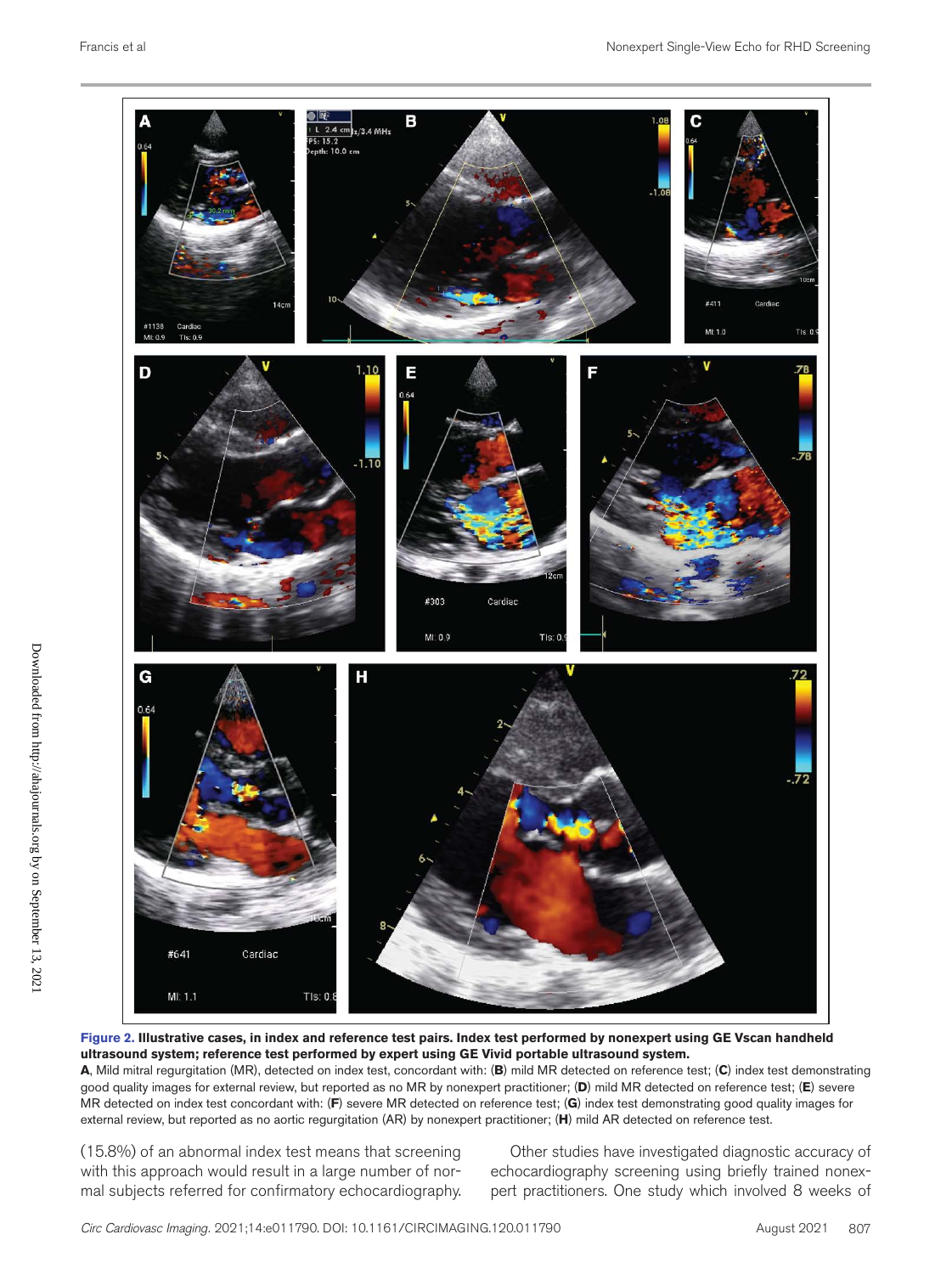

**Figure 2. Illustrative cases, in index and reference test pairs. Index test performed by nonexpert using GE Vscan handheld ultrasound system; reference test performed by expert using GE Vivid portable ultrasound system.**

**A**, Mild mitral regurgitation (MR), detected on index test, concordant with: (**B**) mild MR detected on reference test; (**C**) index test demonstrating good quality images for external review, but reported as no MR by nonexpert practitioner; (**D**) mild MR detected on reference test; (**E**) severe MR detected on index test concordant with: (**F**) severe MR detected on reference test; (**G**) index test demonstrating good quality images for external review, but reported as no aortic regurgitation (AR) by nonexpert practitioner; (**H**) mild AR detected on reference test.

(15.8%) of an abnormal index test means that screening with this approach would result in a large number of normal subjects referred for confirmatory echocardiography.

Other studies have investigated diagnostic accuracy of echocardiography screening using briefly trained nonexpert practitioners. One study which involved 8 weeks of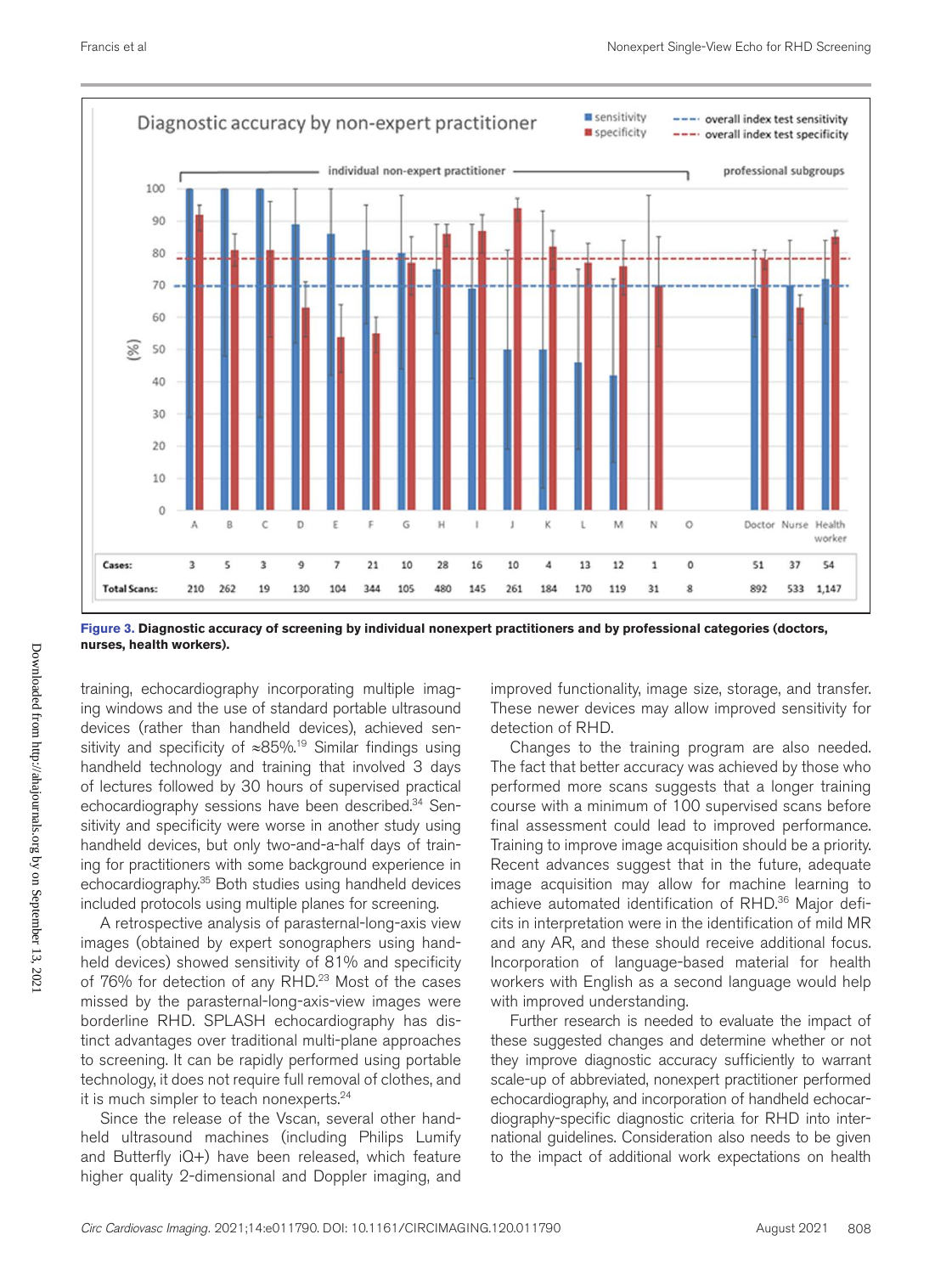

**Figure 3. Diagnostic accuracy of screening by individual nonexpert practitioners and by professional categories (doctors, nurses, health workers).**

training, echocardiography incorporating multiple imaging windows and the use of standard portable ultrasound devices (rather than handheld devices), achieved sensitivity and specificity of ≈85%.19 Similar findings using handheld technology and training that involved 3 days of lectures followed by 30 hours of supervised practical echocardiography sessions have been described.34 Sensitivity and specificity were worse in another study using handheld devices, but only two-and-a-half days of training for practitioners with some background experience in echocardiography.<sup>35</sup> Both studies using handheld devices included protocols using multiple planes for screening.

A retrospective analysis of parasternal-long-axis view images (obtained by expert sonographers using handheld devices) showed sensitivity of 81% and specificity of 76% for detection of any RHD.<sup>23</sup> Most of the cases missed by the parasternal-long-axis-view images were borderline RHD. SPLASH echocardiography has distinct advantages over traditional multi-plane approaches to screening. It can be rapidly performed using portable technology, it does not require full removal of clothes, and it is much simpler to teach nonexperts.<sup>24</sup>

Since the release of the Vscan, several other handheld ultrasound machines (including Philips Lumify and Butterfly iQ+) have been released, which feature higher quality 2-dimensional and Doppler imaging, and

improved functionality, image size, storage, and transfer. These newer devices may allow improved sensitivity for detection of RHD.

Changes to the training program are also needed. The fact that better accuracy was achieved by those who performed more scans suggests that a longer training course with a minimum of 100 supervised scans before final assessment could lead to improved performance. Training to improve image acquisition should be a priority. Recent advances suggest that in the future, adequate image acquisition may allow for machine learning to achieve automated identification of RHD.<sup>36</sup> Major deficits in interpretation were in the identification of mild MR and any AR, and these should receive additional focus. Incorporation of language-based material for health workers with English as a second language would help with improved understanding.

Further research is needed to evaluate the impact of these suggested changes and determine whether or not they improve diagnostic accuracy sufficiently to warrant scale-up of abbreviated, nonexpert practitioner performed echocardiography, and incorporation of handheld echocardiography-specific diagnostic criteria for RHD into international guidelines. Consideration also needs to be given to the impact of additional work expectations on health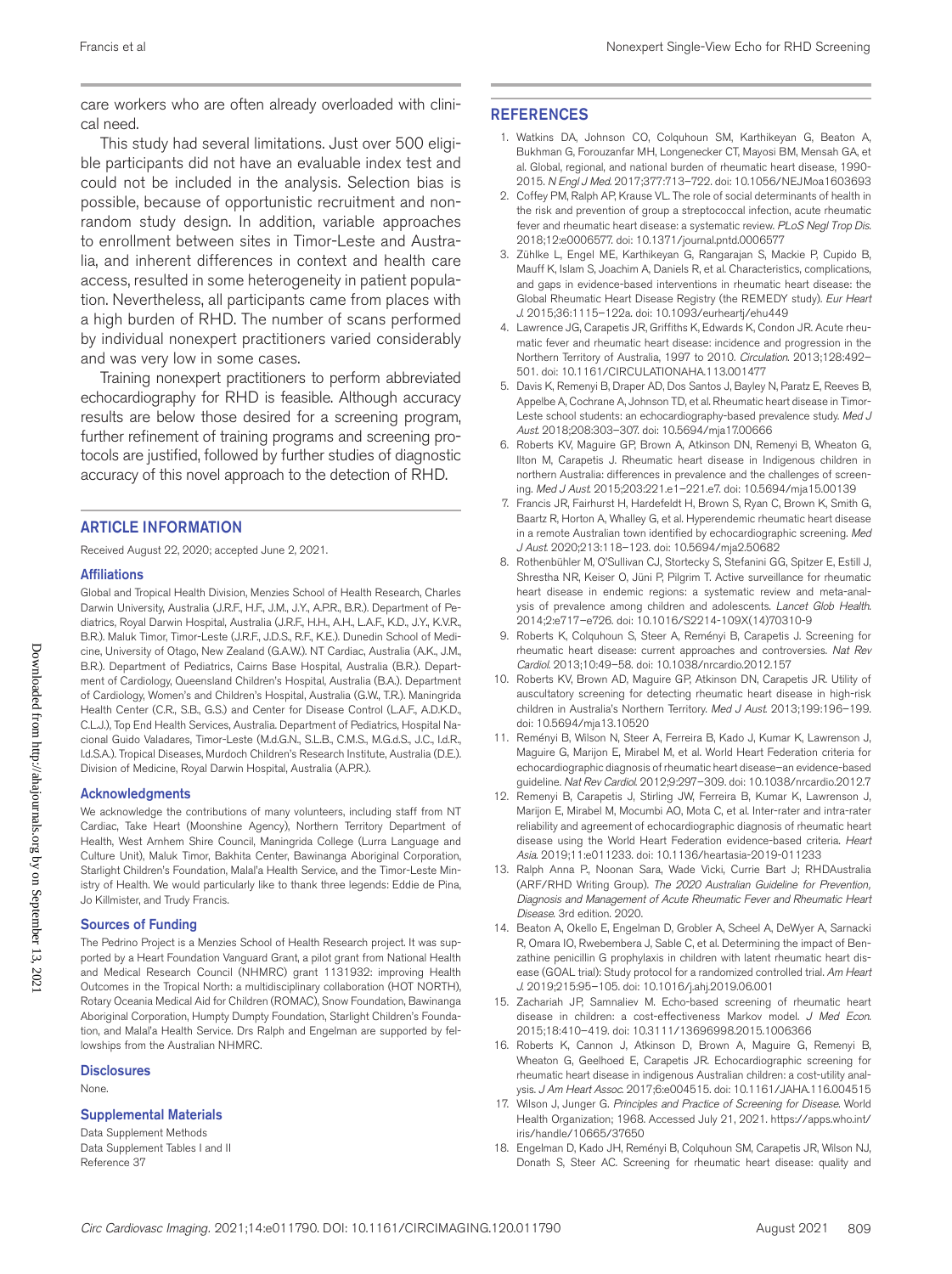care workers who are often already overloaded with clinical need.

This study had several limitations. Just over 500 eligible participants did not have an evaluable index test and could not be included in the analysis. Selection bias is possible, because of opportunistic recruitment and nonrandom study design. In addition, variable approaches to enrollment between sites in Timor-Leste and Australia, and inherent differences in context and health care access, resulted in some heterogeneity in patient population. Nevertheless, all participants came from places with a high burden of RHD. The number of scans performed by individual nonexpert practitioners varied considerably and was very low in some cases.

Training nonexpert practitioners to perform abbreviated echocardiography for RHD is feasible. Although accuracy results are below those desired for a screening program, further refinement of training programs and screening protocols are justified, followed by further studies of diagnostic accuracy of this novel approach to the detection of RHD.

#### ARTICLE INFORMATION

Received August 22, 2020; accepted June 2, 2021.

#### Affiliations

Global and Tropical Health Division, Menzies School of Health Research, Charles Darwin University, Australia (J.R.F., H.F., J.M., J.Y., A.P.R., B.R.). Department of Pediatrics, Royal Darwin Hospital, Australia (J.R.F., H.H., A.H., L.A.F., K.D., J.Y., K.V.R., B.R.). Maluk Timor, Timor-Leste (J.R.F., J.D.S., R.F., K.E.). Dunedin School of Medicine, University of Otago, New Zealand (G.A.W.). NT Cardiac, Australia (A.K., J.M., B.R.). Department of Pediatrics, Cairns Base Hospital, Australia (B.R.). Department of Cardiology, Queensland Children's Hospital, Australia (B.A.). Department of Cardiology, Women's and Children's Hospital, Australia (G.W., T.R.). Maningrida Health Center (C.R., S.B., G.S.) and Center for Disease Control (L.A.F., A.D.K.D., C.L.J.), Top End Health Services, Australia. Department of Pediatrics, Hospital Nacional Guido Valadares, Timor-Leste (M.d.G.N., S.L.B., C.M.S., M.G.d.S., J.C., I.d.R., I.d.S.A.). Tropical Diseases, Murdoch Children's Research Institute, Australia (D.E.). Division of Medicine, Royal Darwin Hospital, Australia (A.P.R.).

#### Acknowledgments

We acknowledge the contributions of many volunteers, including staff from NT Cardiac, Take Heart (Moonshine Agency), Northern Territory Department of Health, West Arnhem Shire Council, Maningrida College (Lurra Language and Culture Unit), Maluk Timor, Bakhita Center, Bawinanga Aboriginal Corporation, Starlight Children's Foundation, Malal'a Health Service, and the Timor-Leste Ministry of Health. We would particularly like to thank three legends: Eddie de Pina, Jo Killmister, and Trudy Francis.

#### Sources of Funding

The Pedrino Project is a Menzies School of Health Research project. It was supported by a Heart Foundation Vanguard Grant, a pilot grant from National Health and Medical Research Council (NHMRC) grant 1131932: improving Health Outcomes in the Tropical North: a multidisciplinary collaboration (HOT NORTH), Rotary Oceania Medical Aid for Children (ROMAC), Snow Foundation, Bawinanga Aboriginal Corporation, Humpty Dumpty Foundation, Starlight Children's Foundation, and Malal'a Health Service. Drs Ralph and Engelman are supported by fellowships from the Australian NHMRC.

#### **Disclosures**

None.

#### Supplemental Materials

Data Supplement Methods Data Supplement Tables I and II Reference 37

#### **REFERENCES**

- 1. Watkins DA, Johnson CO, Colquhoun SM, Karthikeyan G, Beaton A, Bukhman G, Forouzanfar MH, Longenecker CT, Mayosi BM, Mensah GA, et al. Global, regional, and national burden of rheumatic heart disease, 1990- 2015. *N Engl J Med*. 2017;377:713–722. doi: 10.1056/NEJMoa1603693
- 2. Coffey PM, Ralph AP, Krause VL. The role of social determinants of health in the risk and prevention of group a streptococcal infection, acute rheumatic fever and rheumatic heart disease: a systematic review. *PLoS Negl Trop Dis*. 2018;12:e0006577. doi: 10.1371/journal.pntd.0006577
- 3. Zühlke L, Engel ME, Karthikeyan G, Rangarajan S, Mackie P, Cupido B, Mauff K, Islam S, Joachim A, Daniels R, et al. Characteristics, complications, and gaps in evidence-based interventions in rheumatic heart disease: the Global Rheumatic Heart Disease Registry (the REMEDY study). *Eur Heart J*. 2015;36:1115–122a. doi: 10.1093/eurheartj/ehu449
- 4. Lawrence JG, Carapetis JR, Griffiths K, Edwards K, Condon JR. Acute rheumatic fever and rheumatic heart disease: incidence and progression in the Northern Territory of Australia, 1997 to 2010. *Circulation*. 2013;128:492– 501. doi: 10.1161/CIRCULATIONAHA.113.001477
- 5. Davis K, Remenyi B, Draper AD, Dos Santos J, Bayley N, Paratz E, Reeves B, Appelbe A, Cochrane A, Johnson TD, et al. Rheumatic heart disease in Timor-Leste school students: an echocardiography-based prevalence study. *Med J Aust*. 2018;208:303–307. doi: 10.5694/mja17.00666
- 6. Roberts KV, Maguire GP, Brown A, Atkinson DN, Remenyi B, Wheaton G, Ilton M, Carapetis J. Rheumatic heart disease in Indigenous children in northern Australia: differences in prevalence and the challenges of screening. *Med J Aust*. 2015;203:221.e1–221.e7. doi: 10.5694/mja15.00139
- 7. Francis JR, Fairhurst H, Hardefeldt H, Brown S, Ryan C, Brown K, Smith G, Baartz R, Horton A, Whalley G, et al. Hyperendemic rheumatic heart disease in a remote Australian town identified by echocardiographic screening. *Med J Aust*. 2020;213:118–123. doi: 10.5694/mja2.50682
- 8. Rothenbühler M, O'Sullivan CJ, Stortecky S, Stefanini GG, Spitzer E, Estill J, Shrestha NR, Keiser O, Jüni P, Pilgrim T. Active surveillance for rheumatic heart disease in endemic regions: a systematic review and meta-analysis of prevalence among children and adolescents. *Lancet Glob Health*. 2014;2:e717–e726. doi: 10.1016/S2214-109X(14)70310-9
- 9. Roberts K, Colquhoun S, Steer A, Reményi B, Carapetis J. Screening for rheumatic heart disease: current approaches and controversies. *Nat Rev Cardiol*. 2013;10:49–58. doi: 10.1038/nrcardio.2012.157
- 10. Roberts KV, Brown AD, Maguire GP, Atkinson DN, Carapetis JR. Utility of auscultatory screening for detecting rheumatic heart disease in high-risk children in Australia's Northern Territory. *Med J Aust*. 2013;199:196–199. doi: 10.5694/mja13.10520
- 11. Reményi B, Wilson N, Steer A, Ferreira B, Kado J, Kumar K, Lawrenson J, Maguire G, Marijon E, Mirabel M, et al. World Heart Federation criteria for echocardiographic diagnosis of rheumatic heart disease–an evidence-based guideline. *Nat Rev Cardiol*. 2012;9:297–309. doi: 10.1038/nrcardio.2012.7
- 12. Remenyi B, Carapetis J, Stirling JW, Ferreira B, Kumar K, Lawrenson J, Marijon E, Mirabel M, Mocumbi AO, Mota C, et al. Inter-rater and intra-rater reliability and agreement of echocardiographic diagnosis of rheumatic heart disease using the World Heart Federation evidence-based criteria. *Heart Asia*. 2019;11:e011233. doi: 10.1136/heartasia-2019-011233
- 13. Ralph Anna P., Noonan Sara, Wade Vicki, Currie Bart J; RHDAustralia (ARF/RHD Writing Group). *The 2020 Australian Guideline for Prevention, Diagnosis and Management of Acute Rheumatic Fever and Rheumatic Heart Disease*. 3rd edition. 2020.
- 14. Beaton A, Okello E, Engelman D, Grobler A, Scheel A, DeWyer A, Sarnacki R, Omara IO, Rwebembera J, Sable C, et al. Determining the impact of Benzathine penicillin G prophylaxis in children with latent rheumatic heart disease (GOAL trial): Study protocol for a randomized controlled trial. *Am Heart J*. 2019;215:95–105. doi: 10.1016/j.ahj.2019.06.001
- 15. Zachariah JP, Samnaliev M. Echo-based screening of rheumatic heart disease in children: a cost-effectiveness Markov model. *J Med Econ*. 2015;18:410–419. doi: 10.3111/13696998.2015.1006366
- 16. Roberts K, Cannon J, Atkinson D, Brown A, Maguire G, Remenyi B, Wheaton G, Geelhoed E, Carapetis JR. Echocardiographic screening for rheumatic heart disease in indigenous Australian children: a cost-utility analysis. *J Am Heart Assoc*. 2017;6:e004515. doi: 10.1161/JAHA.116.004515
- 17. Wilson J, Junger G. *Principles and Practice of Screening for Disease*. World Health Organization; 1968. Accessed July 21, 2021. https://apps.who.int/ iris/handle/10665/37650
- 18. Engelman D, Kado JH, Reményi B, Colquhoun SM, Carapetis JR, Wilson NJ, Donath S, Steer AC. Screening for rheumatic heart disease: quality and